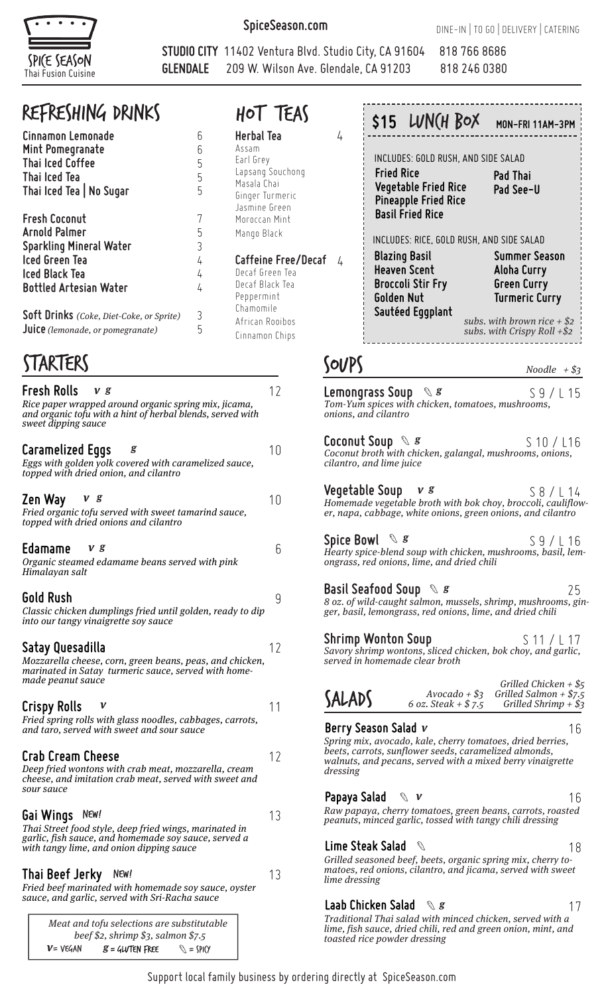

**SpiceSeason.com**

**Herbal Tea** Assam Earl Grey

Lapsang Souchong Masala Chai Ginger Turmeric Jasmine Green Moroccan Mint Mango Black

hot Teas

Decaf Green Tea Decaf Black Tea Peppermint Chamomile African Rooibos Cinnamon Chips

5

**Caffeine Free/Decaf** 4

**STUDIO CITY** 11402 Ventura Blvd. Studio City, CA 91604 818 766 8686 **GLENDALE** 209 W. Wilson Ave. Glendale, CA 91203 818 246 0380

4

## Refreshing DRINKS

| Cinnamon Lemonade<br>Mint Pomegranate<br><b>Thai Iced Coffee</b><br><b>Thai Iced Tea</b><br>Thai Iced Tea   No Sugar                                       | հ<br>6<br>5<br>5<br>5              |
|------------------------------------------------------------------------------------------------------------------------------------------------------------|------------------------------------|
| <b>Fresh Coconut</b><br>Arnold Palmer<br><b>Sparkling Mineral Water</b><br><b>Iced Green Tea</b><br><b>Iced Black Tea</b><br><b>Bottled Artesian Water</b> | 5<br>$\overline{3}$<br>4<br>4<br>4 |
| <b>Soft Drinks</b> (Coke, Diet-Coke, or Sprite)                                                                                                            |                                    |

**Juice**(lemonade, or pomegranate)

## STARTERS SOUPS

| <b>Fresh Rolls</b><br>V <sub>s</sub><br>Rice paper wrapped around organic spring mix, jicama,<br>and organic tofu with a hint of herbal blends, served with<br>sweet dipping sauce | 12      |
|------------------------------------------------------------------------------------------------------------------------------------------------------------------------------------|---------|
| <b>Caramelized Eggs</b><br>g<br>Eggs with golden yolk covered with caramelized sauce,<br>topped with dried onion, and cilantro                                                     | 10      |
| Zen Way<br>v g<br>Fried organic tofu served with sweet tamarind sauce,<br>topped with dried onions and cilantro                                                                    | 10      |
| Edamame<br>V g<br>Organic steamed edamame beans served with pink<br>Himalayan salt                                                                                                 | 6       |
| Gold Rush<br>Classic chicken dumplings fried until golden, ready to dip<br>into our tangy vinaigrette soy sauce                                                                    | 9       |
| Satay Quesadilla<br>Mozzarella cheese, corn, green beans, peas, and chicken,<br>marinated in Satay turmeric sauce, served with home-<br>made peanut sauce                          | $12 \,$ |
| Crispy Rolls<br>Fried spring rolls with glass noodles, cabbages, carrots,<br>and taro, served with sweet and sour sauce                                                            | 11      |
| <b>Crab Cream Cheese</b><br>Deep fried wontons with crab meat, mozzarella, cream<br>cheese, and imitation crab meat, served with sweet and<br>sour sauce                           | 12      |
| Gai Wings<br>New!<br>Thai Street food style, deep fried wings, marinated in<br>garlic, fish sauce, and homemade soy sauce, served a<br>with tangy lime, and onion dipping sauce    | 13      |
| Thai Beef Jerky<br>NEW!<br>Fried beef marinated with homemade soy sauce, oyster<br>sauce, and garlic, served with Sri-Racha sauce                                                  | 13      |
| Meat and tofu selections are substitutable<br>beef \$2, shrimp \$3, salmon \$7.5                                                                                                   |         |

 $\mathcal{G} =$  GLVTEN FREE  $\mathcal{G} = \text{SPI}(Y)$ 

 $v = v \in GAN$ 

|                                                            | \$15 LUN(H BOX                                             | MON-FRI 11AM-3PM                                    |
|------------------------------------------------------------|------------------------------------------------------------|-----------------------------------------------------|
|                                                            | INCLUDES: GOLD RUSH, AND SIDE SALAD                        |                                                     |
| <b>Fried Rice</b><br><b>Basil Fried Rice</b>               | <b>Vegetable Fried Rice</b><br><b>Pineapple Fried Rice</b> | <b>Pad Thai</b><br>Pad See-U                        |
|                                                            | INCLUDES: RICE, GOLD RUSH, AND SIDE SALAD                  |                                                     |
|                                                            |                                                            |                                                     |
| <b>Blazing Basil</b><br><b>Heaven Scent</b>                |                                                            | Summer Season                                       |
| <b>Broccoli Stir Fry</b><br>Golden Nut<br>Sautéed Eggplant |                                                            | Aloha Curry<br>Green Curry<br><b>Turmeric Curry</b> |

Noodle  $+ $3$ 

| Lemongrass Soup $\mathcal{R} \mathcal{S}$<br>onions, and cilantro                                                 | Tom-Yum spices with chicken, tomatoes, mushrooms,                                                                                                                                 | S <sub>9</sub> /L <sub>15</sub>                                                |
|-------------------------------------------------------------------------------------------------------------------|-----------------------------------------------------------------------------------------------------------------------------------------------------------------------------------|--------------------------------------------------------------------------------|
| Coconut Soup $\mathrel{\mathop{\mathrm{S}}}\mathrel{\mathop{\mathrm{sg}}\nolimits} s$<br>cilantro, and lime juice | Coconut broth with chicken, galangal, mushrooms, onions,                                                                                                                          | S 10 / L16                                                                     |
| Veqetable Soup v <i>s</i>                                                                                         | er, napa, cabbage, white onions, green onions, and cilantro                                                                                                                       | S 8 / L 14<br>Homemade vegetable broth with bok choy, broccoli, cauliflow-     |
| Spice Bowl $\mathscr{S} \mathscr{S}$                                                                              | ongrass, red onions, lime, and dried chili                                                                                                                                        | S 9 / L 16<br>Hearty spice-blend soup with chicken, mushrooms, basil, lem-     |
| Basil Seafood Soup $\mathscr{C}$ $s$                                                                              | ger, basil, lemongrass, red onions, lime, and dried chili                                                                                                                         | 25<br>8 oz. of wild-caught salmon, mussels, shrimp, mushrooms, gin-            |
| Shrimp Wonton Soup<br>served in homemade clear broth                                                              | Savory shrimp wontons, sliced chicken, bok choy, and garlic,                                                                                                                      | S 11 / L 17                                                                    |
| SALADS                                                                                                            | $A$ vocado + $\$$ 3<br>6 oz. Steak + $$7.5$                                                                                                                                       | Grilled Chicken + $\$$ 5<br>Grilled Salmon + $$7.5$<br>Grilled Shrimp + $\$$ 3 |
| Berry Season Salad $\nu$<br>dressing                                                                              | Spring mix, avocado, kale, cherry tomatoes, dried berries,<br>beets, carrots, sunflower seeds, caramelized almonds,<br>walnuts, and pecans, served with a mixed berry vinaigrette | 16                                                                             |
| Papaya Salad $\mathscr{A}$ v                                                                                      | Raw papaya, cherry tomatoes, green beans, carrots, roasted<br>peanuts, minced garlic, tossed with tangy chili dressing                                                            | 16                                                                             |
| Lime Steak Salad                                                                                                  | G<br>Grilled seasoned beef, beets, organic spring mix, cherry to-<br>matoog rod oniong gilantro and jigama gomed with quaet                                                       | 18                                                                             |

### matoes, red onions, cilantro, and jicama, served with sweet lime dressing

**Laab Chicken Salad g** Traditional Thai salad with minced chicken, served with a lime, fish sauce, dried chili, red and green onion, mint, and toasted rice powder dressing 17